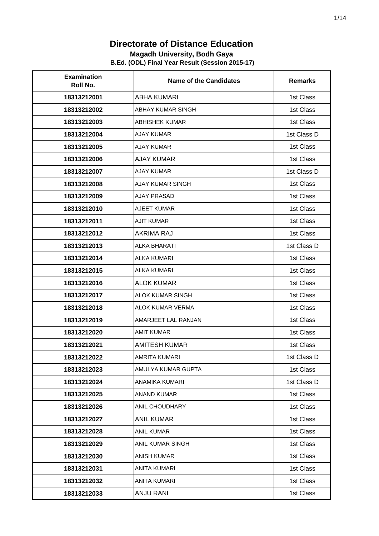#### **Magadh University, Bodh Gaya**

| <b>Examination</b><br>Roll No. | <b>Name of the Candidates</b> | <b>Remarks</b> |
|--------------------------------|-------------------------------|----------------|
| 18313212001                    | ABHA KUMARI                   | 1st Class      |
| 18313212002                    | <b>ABHAY KUMAR SINGH</b>      | 1st Class      |
| 18313212003                    | <b>ABHISHEK KUMAR</b>         | 1st Class      |
| 18313212004                    | <b>AJAY KUMAR</b>             | 1st Class D    |
| 18313212005                    | <b>AJAY KUMAR</b>             | 1st Class      |
| 18313212006                    | <b>AJAY KUMAR</b>             | 1st Class      |
| 18313212007                    | <b>AJAY KUMAR</b>             | 1st Class D    |
| 18313212008                    | AJAY KUMAR SINGH              | 1st Class      |
| 18313212009                    | <b>AJAY PRASAD</b>            | 1st Class      |
| 18313212010                    | <b>AJEET KUMAR</b>            | 1st Class      |
| 18313212011                    | <b>AJIT KUMAR</b>             | 1st Class      |
| 18313212012                    | AKRIMA RAJ                    | 1st Class      |
| 18313212013                    | <b>ALKA BHARATI</b>           | 1st Class D    |
| 18313212014                    | <b>ALKA KUMARI</b>            | 1st Class      |
| 18313212015                    | <b>ALKA KUMARI</b>            | 1st Class      |
| 18313212016                    | <b>ALOK KUMAR</b>             | 1st Class      |
| 18313212017                    | ALOK KUMAR SINGH              | 1st Class      |
| 18313212018                    | <b>ALOK KUMAR VERMA</b>       | 1st Class      |
| 18313212019                    | AMARJEET LAL RANJAN           | 1st Class      |
| 18313212020                    | <b>AMIT KUMAR</b>             | 1st Class      |
| 18313212021                    | <b>AMITESH KUMAR</b>          | 1st Class      |
| 18313212022                    | <b>AMRITA KUMARI</b>          | 1st Class D    |
| 18313212023                    | AMULYA KUMAR GUPTA            | 1st Class      |
| 18313212024                    | ANAMIKA KUMARI                | 1st Class D    |
| 18313212025                    | <b>ANAND KUMAR</b>            | 1st Class      |
| 18313212026                    | ANIL CHOUDHARY                | 1st Class      |
| 18313212027                    | <b>ANIL KUMAR</b>             | 1st Class      |
| 18313212028                    | <b>ANIL KUMAR</b>             | 1st Class      |
| 18313212029                    | ANIL KUMAR SINGH              | 1st Class      |
| 18313212030                    | <b>ANISH KUMAR</b>            | 1st Class      |
| 18313212031                    | <b>ANITA KUMARI</b>           | 1st Class      |
| 18313212032                    | ANITA KUMARI                  | 1st Class      |
| 18313212033                    | <b>ANJU RANI</b>              | 1st Class      |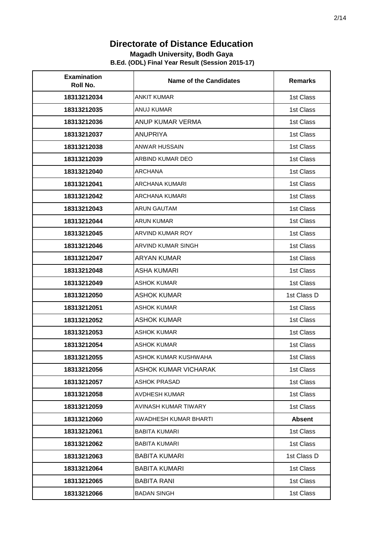#### **Magadh University, Bodh Gaya**

| <b>Examination</b><br>Roll No. | <b>Name of the Candidates</b> | <b>Remarks</b> |
|--------------------------------|-------------------------------|----------------|
| 18313212034                    | <b>ANKIT KUMAR</b>            | 1st Class      |
| 18313212035                    | <b>ANUJ KUMAR</b>             | 1st Class      |
| 18313212036                    | ANUP KUMAR VERMA              | 1st Class      |
| 18313212037                    | <b>ANUPRIYA</b>               | 1st Class      |
| 18313212038                    | ANWAR HUSSAIN                 | 1st Class      |
| 18313212039                    | ARBIND KUMAR DEO              | 1st Class      |
| 18313212040                    | <b>ARCHANA</b>                | 1st Class      |
| 18313212041                    | <b>ARCHANA KUMARI</b>         | 1st Class      |
| 18313212042                    | <b>ARCHANA KUMARI</b>         | 1st Class      |
| 18313212043                    | <b>ARUN GAUTAM</b>            | 1st Class      |
| 18313212044                    | <b>ARUN KUMAR</b>             | 1st Class      |
| 18313212045                    | <b>ARVIND KUMAR ROY</b>       | 1st Class      |
| 18313212046                    | ARVIND KUMAR SINGH            | 1st Class      |
| 18313212047                    | <b>ARYAN KUMAR</b>            | 1st Class      |
| 18313212048                    | <b>ASHA KUMARI</b>            | 1st Class      |
| 18313212049                    | <b>ASHOK KUMAR</b>            | 1st Class      |
| 18313212050                    | <b>ASHOK KUMAR</b>            | 1st Class D    |
| 18313212051                    | <b>ASHOK KUMAR</b>            | 1st Class      |
| 18313212052                    | <b>ASHOK KUMAR</b>            | 1st Class      |
| 18313212053                    | <b>ASHOK KUMAR</b>            | 1st Class      |
| 18313212054                    | <b>ASHOK KUMAR</b>            | 1st Class      |
| 18313212055                    | ASHOK KUMAR KUSHWAHA          | 1st Class      |
| 18313212056                    | <b>ASHOK KUMAR VICHARAK</b>   | 1st Class      |
| 18313212057                    | <b>ASHOK PRASAD</b>           | 1st Class      |
| 18313212058                    | <b>AVDHESH KUMAR</b>          | 1st Class      |
| 18313212059                    | AVINASH KUMAR TIWARY          | 1st Class      |
| 18313212060                    | AWADHESH KUMAR BHARTI         | <b>Absent</b>  |
| 18313212061                    | <b>BABITA KUMARI</b>          | 1st Class      |
| 18313212062                    | <b>BABITA KUMARI</b>          | 1st Class      |
| 18313212063                    | <b>BABITA KUMARI</b>          | 1st Class D    |
| 18313212064                    | <b>BABITA KUMARI</b>          | 1st Class      |
| 18313212065                    | <b>BABITA RANI</b>            | 1st Class      |
| 18313212066                    | <b>BADAN SINGH</b>            | 1st Class      |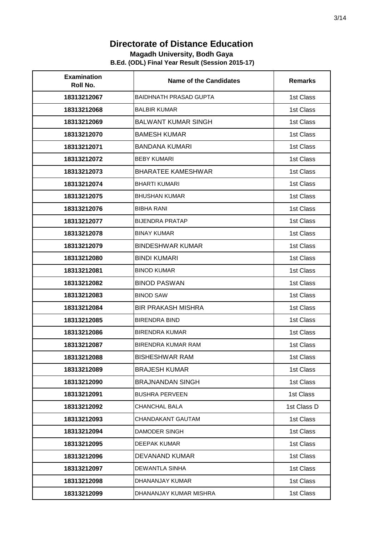#### **Magadh University, Bodh Gaya**

| <b>Examination</b><br>Roll No. | <b>Name of the Candidates</b> | <b>Remarks</b> |
|--------------------------------|-------------------------------|----------------|
| 18313212067                    | <b>BAIDHNATH PRASAD GUPTA</b> | 1st Class      |
| 18313212068                    | <b>BALBIR KUMAR</b>           | 1st Class      |
| 18313212069                    | <b>BALWANT KUMAR SINGH</b>    | 1st Class      |
| 18313212070                    | <b>BAMESH KUMAR</b>           | 1st Class      |
| 18313212071                    | <b>BANDANA KUMARI</b>         | 1st Class      |
| 18313212072                    | <b>BEBY KUMARI</b>            | 1st Class      |
| 18313212073                    | <b>BHARATEE KAMESHWAR</b>     | 1st Class      |
| 18313212074                    | <b>BHARTI KUMARI</b>          | 1st Class      |
| 18313212075                    | BHUSHAN KUMAR                 | 1st Class      |
| 18313212076                    | <b>BIBHA RANI</b>             | 1st Class      |
| 18313212077                    | <b>BIJENDRA PRATAP</b>        | 1st Class      |
| 18313212078                    | <b>BINAY KUMAR</b>            | 1st Class      |
| 18313212079                    | <b>BINDESHWAR KUMAR</b>       | 1st Class      |
| 18313212080                    | <b>BINDI KUMARI</b>           | 1st Class      |
| 18313212081                    | <b>BINOD KUMAR</b>            | 1st Class      |
| 18313212082                    | <b>BINOD PASWAN</b>           | 1st Class      |
| 18313212083                    | <b>BINOD SAW</b>              | 1st Class      |
| 18313212084                    | <b>BIR PRAKASH MISHRA</b>     | 1st Class      |
| 18313212085                    | <b>BIRENDRA BIND</b>          | 1st Class      |
| 18313212086                    | <b>BIRENDRA KUMAR</b>         | 1st Class      |
| 18313212087                    | <b>BIRENDRA KUMAR RAM</b>     | 1st Class      |
| 18313212088                    | <b>BISHESHWAR RAM</b>         | 1st Class      |
| 18313212089                    | <b>BRAJESH KUMAR</b>          | 1st Class      |
| 18313212090                    | <b>BRAJNANDAN SINGH</b>       | 1st Class      |
| 18313212091                    | <b>BUSHRA PERVEEN</b>         | 1st Class      |
| 18313212092                    | CHANCHAL BALA                 | 1st Class D    |
| 18313212093                    | CHANDAKANT GAUTAM             | 1st Class      |
| 18313212094                    | <b>DAMODER SINGH</b>          | 1st Class      |
| 18313212095                    | DEEPAK KUMAR                  | 1st Class      |
| 18313212096                    | DEVANAND KUMAR                | 1st Class      |
| 18313212097                    | <b>DEWANTLA SINHA</b>         | 1st Class      |
| 18313212098                    | DHANANJAY KUMAR               | 1st Class      |
| 18313212099                    | DHANANJAY KUMAR MISHRA        | 1st Class      |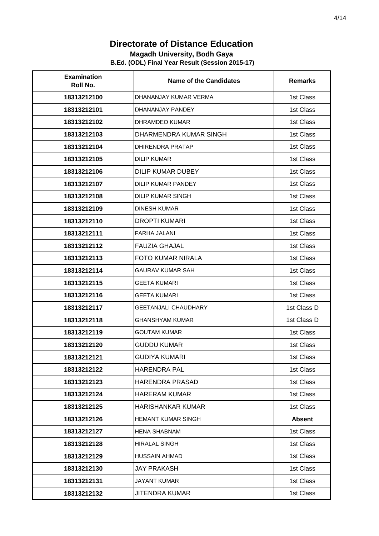#### **Magadh University, Bodh Gaya**

| <b>Examination</b><br>Roll No. | Name of the Candidates      | <b>Remarks</b> |
|--------------------------------|-----------------------------|----------------|
| 18313212100                    | DHANANJAY KUMAR VERMA       | 1st Class      |
| 18313212101                    | DHANANJAY PANDEY            | 1st Class      |
| 18313212102                    | <b>DHRAMDEO KUMAR</b>       | 1st Class      |
| 18313212103                    | DHARMENDRA KUMAR SINGH      | 1st Class      |
| 18313212104                    | <b>DHIRENDRA PRATAP</b>     | 1st Class      |
| 18313212105                    | <b>DILIP KUMAR</b>          | 1st Class      |
| 18313212106                    | <b>DILIP KUMAR DUBEY</b>    | 1st Class      |
| 18313212107                    | DILIP KUMAR PANDEY          | 1st Class      |
| 18313212108                    | <b>DILIP KUMAR SINGH</b>    | 1st Class      |
| 18313212109                    | <b>DINESH KUMAR</b>         | 1st Class      |
| 18313212110                    | <b>DROPTI KUMARI</b>        | 1st Class      |
| 18313212111                    | <b>FARHA JALANI</b>         | 1st Class      |
| 18313212112                    | <b>FAUZIA GHAJAL</b>        | 1st Class      |
| 18313212113                    | FOTO KUMAR NIRALA           | 1st Class      |
| 18313212114                    | <b>GAURAV KUMAR SAH</b>     | 1st Class      |
| 18313212115                    | <b>GEETA KUMARI</b>         | 1st Class      |
| 18313212116                    | <b>GEETA KUMARI</b>         | 1st Class      |
| 18313212117                    | <b>GEETANJALI CHAUDHARY</b> | 1st Class D    |
| 18313212118                    | <b>GHANSHYAM KUMAR</b>      | 1st Class D    |
| 18313212119                    | <b>GOUTAM KUMAR</b>         | 1st Class      |
| 18313212120                    | <b>GUDDU KUMAR</b>          | 1st Class      |
| 18313212121                    | GUDIYA KUMARI               | 1st Class      |
| 18313212122                    | HARENDRA PAL                | 1st Class      |
| 18313212123                    | <b>HARENDRA PRASAD</b>      | 1st Class      |
| 18313212124                    | <b>HARERAM KUMAR</b>        | 1st Class      |
| 18313212125                    | <b>HARISHANKAR KUMAR</b>    | 1st Class      |
| 18313212126                    | <b>HEMANT KUMAR SINGH</b>   | <b>Absent</b>  |
| 18313212127                    | <b>HENA SHABNAM</b>         | 1st Class      |
| 18313212128                    | <b>HIRALAL SINGH</b>        | 1st Class      |
| 18313212129                    | <b>HUSSAIN AHMAD</b>        | 1st Class      |
| 18313212130                    | JAY PRAKASH                 | 1st Class      |
| 18313212131                    | <b>JAYANT KUMAR</b>         | 1st Class      |
| 18313212132                    | <b>JITENDRA KUMAR</b>       | 1st Class      |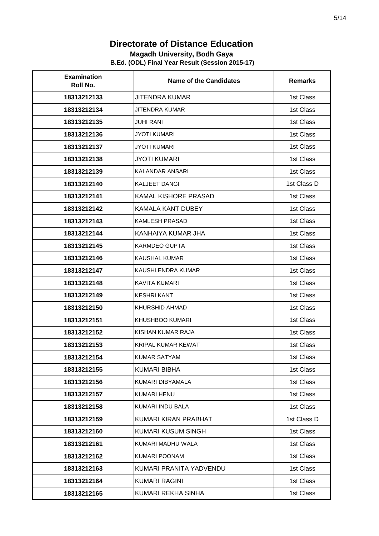#### **Magadh University, Bodh Gaya**

| <b>Examination</b><br>Roll No. | <b>Name of the Candidates</b> | <b>Remarks</b> |
|--------------------------------|-------------------------------|----------------|
| 18313212133                    | <b>JITENDRA KUMAR</b>         | 1st Class      |
| 18313212134                    | <b>JITENDRA KUMAR</b>         | 1st Class      |
| 18313212135                    | <b>JUHI RANI</b>              | 1st Class      |
| 18313212136                    | <b>JYOTI KUMARI</b>           | 1st Class      |
| 18313212137                    | <b>JYOTI KUMARI</b>           | 1st Class      |
| 18313212138                    | <b>JYOTI KUMARI</b>           | 1st Class      |
| 18313212139                    | <b>KALANDAR ANSARI</b>        | 1st Class      |
| 18313212140                    | <b>KALJEET DANGI</b>          | 1st Class D    |
| 18313212141                    | <b>KAMAL KISHORE PRASAD</b>   | 1st Class      |
| 18313212142                    | KAMALA KANT DUBEY             | 1st Class      |
| 18313212143                    | <b>KAMLESH PRASAD</b>         | 1st Class      |
| 18313212144                    | KANHAIYA KUMAR JHA            | 1st Class      |
| 18313212145                    | KARMDEO GUPTA                 | 1st Class      |
| 18313212146                    | <b>KAUSHAL KUMAR</b>          | 1st Class      |
| 18313212147                    | KAUSHLENDRA KUMAR             | 1st Class      |
| 18313212148                    | <b>KAVITA KUMARI</b>          | 1st Class      |
| 18313212149                    | <b>KESHRI KANT</b>            | 1st Class      |
| 18313212150                    | KHURSHID AHMAD                | 1st Class      |
| 18313212151                    | KHUSHBOO KUMARI               | 1st Class      |
| 18313212152                    | KISHAN KUMAR RAJA             | 1st Class      |
| 18313212153                    | <b>KRIPAL KUMAR KEWAT</b>     | 1st Class      |
| 18313212154                    | <b>KUMAR SATYAM</b>           | 1st Class      |
| 18313212155                    | <b>KUMARI BIBHA</b>           | 1st Class      |
| 18313212156                    | KUMARI DIBYAMALA              | 1st Class      |
| 18313212157                    | <b>KUMARI HENU</b>            | 1st Class      |
| 18313212158                    | KUMARI INDU BALA              | 1st Class      |
| 18313212159                    | KUMARI KIRAN PRABHAT          | 1st Class D    |
| 18313212160                    | KUMARI KUSUM SINGH            | 1st Class      |
| 18313212161                    | KUMARI MADHU WALA             | 1st Class      |
| 18313212162                    | KUMARI POONAM                 | 1st Class      |
| 18313212163                    | KUMARI PRANITA YADVENDU       | 1st Class      |
| 18313212164                    | <b>KUMARI RAGINI</b>          | 1st Class      |
| 18313212165                    | KUMARI REKHA SINHA            | 1st Class      |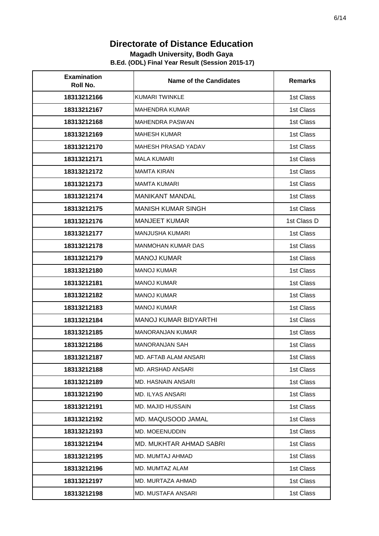#### **Magadh University, Bodh Gaya**

| <b>Examination</b><br>Roll No. | <b>Name of the Candidates</b>  | <b>Remarks</b> |
|--------------------------------|--------------------------------|----------------|
| 18313212166                    | <b>KUMARI TWINKLE</b>          | 1st Class      |
| 18313212167                    | <b>MAHENDRA KUMAR</b>          | 1st Class      |
| 18313212168                    | <b>MAHENDRA PASWAN</b>         | 1st Class      |
| 18313212169                    | <b>MAHESH KUMAR</b>            | 1st Class      |
| 18313212170                    | MAHESH PRASAD YADAV            | 1st Class      |
| 18313212171                    | <b>MALA KUMARI</b>             | 1st Class      |
| 18313212172                    | <b>MAMTA KIRAN</b>             | 1st Class      |
| 18313212173                    | <b>MAMTA KUMARI</b>            | 1st Class      |
| 18313212174                    | <b>MANIKANT MANDAL</b>         | 1st Class      |
| 18313212175                    | <b>MANISH KUMAR SINGH</b>      | 1st Class      |
| 18313212176                    | <b>MANJEET KUMAR</b>           | 1st Class D    |
| 18313212177                    | MANJUSHA KUMARI                | 1st Class      |
| 18313212178                    | MANMOHAN KUMAR DAS             | 1st Class      |
| 18313212179                    | <b>MANOJ KUMAR</b>             | 1st Class      |
| 18313212180                    | <b>MANOJ KUMAR</b>             | 1st Class      |
| 18313212181                    | <b>MANOJ KUMAR</b>             | 1st Class      |
| 18313212182                    | <b>MANOJ KUMAR</b>             | 1st Class      |
| 18313212183                    | <b>MANOJ KUMAR</b>             | 1st Class      |
| 18313212184                    | <b>MANOJ KUMAR BIDYARTHI</b>   | 1st Class      |
| 18313212185                    | <b>MANORANJAN KUMAR</b>        | 1st Class      |
| 18313212186                    | <b>MANORANJAN SAH</b>          | 1st Class      |
| 18313212187                    | <b>MD. AFTAB ALAM ANSARI</b>   | 1st Class      |
| 18313212188                    | MD. ARSHAD ANSARI              | 1st Class      |
| 18313212189                    | MD. HASNAIN ANSARI             | 1st Class      |
| 18313212190                    | <b>MD. ILYAS ANSARI</b>        | 1st Class      |
| 18313212191                    | MD. MAJID HUSSAIN              | 1st Class      |
| 18313212192                    | MD. MAQUSOOD JAMAL             | 1st Class      |
| 18313212193                    | MD. MOEENUDDIN                 | 1st Class      |
| 18313212194                    | <b>MD. MUKHTAR AHMAD SABRI</b> | 1st Class      |
| 18313212195                    | MD. MUMTAJ AHMAD               | 1st Class      |
| 18313212196                    | MD. MUMTAZ ALAM                | 1st Class      |
| 18313212197                    | MD. MURTAZA AHMAD              | 1st Class      |
| 18313212198                    | MD. MUSTAFA ANSARI             | 1st Class      |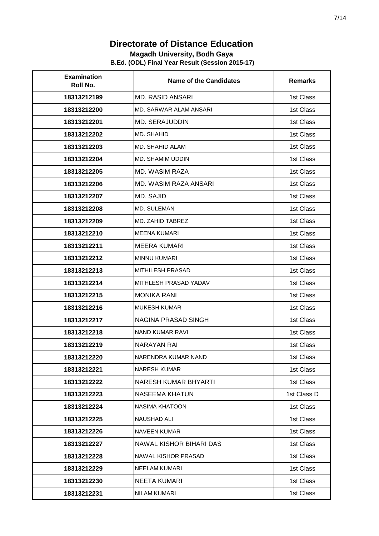#### **Magadh University, Bodh Gaya**

| <b>Examination</b><br>Roll No. | <b>Name of the Candidates</b> | <b>Remarks</b> |
|--------------------------------|-------------------------------|----------------|
| 18313212199                    | <b>MD. RASID ANSARI</b>       | 1st Class      |
| 18313212200                    | MD. SARWAR ALAM ANSARI        | 1st Class      |
| 18313212201                    | <b>MD. SERAJUDDIN</b>         | 1st Class      |
| 18313212202                    | MD. SHAHID                    | 1st Class      |
| 18313212203                    | MD. SHAHID ALAM               | 1st Class      |
| 18313212204                    | <b>MD. SHAMIM UDDIN</b>       | 1st Class      |
| 18313212205                    | <b>MD. WASIM RAZA</b>         | 1st Class      |
| 18313212206                    | MD. WASIM RAZA ANSARI         | 1st Class      |
| 18313212207                    | MD. SAJID                     | 1st Class      |
| 18313212208                    | <b>MD. SULEMAN</b>            | 1st Class      |
| 18313212209                    | MD. ZAHID TABREZ              | 1st Class      |
| 18313212210                    | MEENA KUMARI                  | 1st Class      |
| 18313212211                    | <b>MEERA KUMARI</b>           | 1st Class      |
| 18313212212                    | <b>MINNU KUMARI</b>           | 1st Class      |
| 18313212213                    | <b>MITHILESH PRASAD</b>       | 1st Class      |
| 18313212214                    | MITHLESH PRASAD YADAV         | 1st Class      |
| 18313212215                    | <b>MONIKA RANI</b>            | 1st Class      |
| 18313212216                    | <b>MUKESH KUMAR</b>           | 1st Class      |
| 18313212217                    | <b>NAGINA PRASAD SINGH</b>    | 1st Class      |
| 18313212218                    | <b>NAND KUMAR RAVI</b>        | 1st Class      |
| 18313212219                    | NARAYAN RAI                   | 1st Class      |
| 18313212220                    | NARENDRA KUMAR NAND           | 1st Class      |
| 18313212221                    | <b>NARESH KUMAR</b>           | 1st Class      |
| 18313212222                    | NARESH KUMAR BHYARTI          | 1st Class      |
| 18313212223                    | <b>NASEEMA KHATUN</b>         | 1st Class D    |
| 18313212224                    | NASIMA KHATOON                | 1st Class      |
| 18313212225                    | <b>NAUSHAD ALI</b>            | 1st Class      |
| 18313212226                    | <b>NAVEEN KUMAR</b>           | 1st Class      |
| 18313212227                    | NAWAL KISHOR BIHARI DAS       | 1st Class      |
| 18313212228                    | NAWAL KISHOR PRASAD           | 1st Class      |
| 18313212229                    | <b>NEELAM KUMARI</b>          | 1st Class      |
| 18313212230                    | <b>NEETA KUMARI</b>           | 1st Class      |
| 18313212231                    | <b>NILAM KUMARI</b>           | 1st Class      |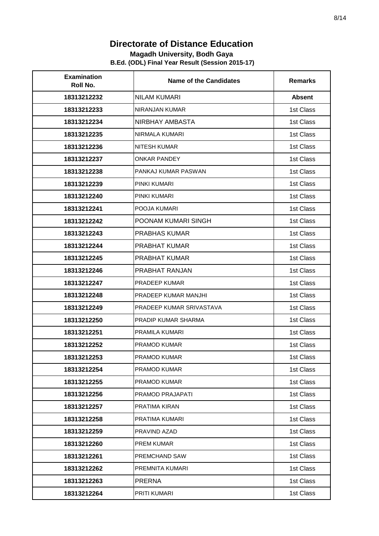#### **Magadh University, Bodh Gaya**

| <b>Examination</b><br>Roll No. | <b>Name of the Candidates</b> | <b>Remarks</b> |
|--------------------------------|-------------------------------|----------------|
| 18313212232                    | NILAM KUMARI                  | <b>Absent</b>  |
| 18313212233                    | NIRANJAN KUMAR                | 1st Class      |
| 18313212234                    | NIRBHAY AMBASTA               | 1st Class      |
| 18313212235                    | NIRMALA KUMARI                | 1st Class      |
| 18313212236                    | <b>NITESH KUMAR</b>           | 1st Class      |
| 18313212237                    | <b>ONKAR PANDEY</b>           | 1st Class      |
| 18313212238                    | PANKAJ KUMAR PASWAN           | 1st Class      |
| 18313212239                    | PINKI KUMARI                  | 1st Class      |
| 18313212240                    | PINKI KUMARI                  | 1st Class      |
| 18313212241                    | POOJA KUMARI                  | 1st Class      |
| 18313212242                    | POONAM KUMARI SINGH           | 1st Class      |
| 18313212243                    | <b>PRABHAS KUMAR</b>          | 1st Class      |
| 18313212244                    | PRABHAT KUMAR                 | 1st Class      |
| 18313212245                    | <b>PRABHAT KUMAR</b>          | 1st Class      |
| 18313212246                    | PRABHAT RANJAN                | 1st Class      |
| 18313212247                    | PRADEEP KUMAR                 | 1st Class      |
| 18313212248                    | PRADEEP KUMAR MANJHI          | 1st Class      |
| 18313212249                    | PRADEEP KUMAR SRIVASTAVA      | 1st Class      |
| 18313212250                    | PRADIP KUMAR SHARMA           | 1st Class      |
| 18313212251                    | PRAMILA KUMARI                | 1st Class      |
| 18313212252                    | <b>PRAMOD KUMAR</b>           | 1st Class      |
| 18313212253                    | PRAMOD KUMAR                  | 1st Class      |
| 18313212254                    | PRAMOD KUMAR                  | 1st Class      |
| 18313212255                    | PRAMOD KUMAR                  | 1st Class      |
| 18313212256                    | PRAMOD PRAJAPATI              | 1st Class      |
| 18313212257                    | PRATIMA KIRAN                 | 1st Class      |
| 18313212258                    | PRATIMA KUMARI                | 1st Class      |
| 18313212259                    | PRAVIND AZAD                  | 1st Class      |
| 18313212260                    | PREM KUMAR                    | 1st Class      |
| 18313212261                    | PREMCHAND SAW                 | 1st Class      |
| 18313212262                    | PREMNITA KUMARI               | 1st Class      |
| 18313212263                    | <b>PRERNA</b>                 | 1st Class      |
| 18313212264                    | PRITI KUMARI                  | 1st Class      |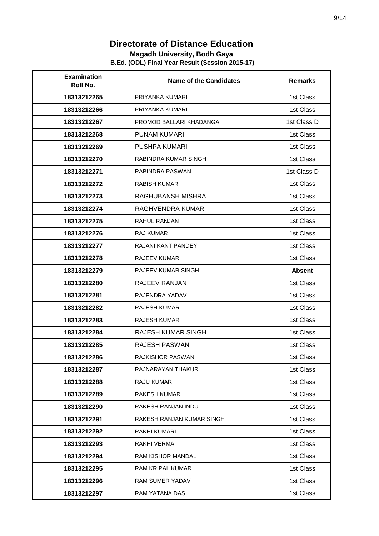#### **Magadh University, Bodh Gaya**

| <b>Examination</b><br>Roll No. | <b>Name of the Candidates</b> | <b>Remarks</b> |
|--------------------------------|-------------------------------|----------------|
| 18313212265                    | PRIYANKA KUMARI               | 1st Class      |
| 18313212266                    | PRIYANKA KUMARI               | 1st Class      |
| 18313212267                    | PROMOD BALLARI KHADANGA       | 1st Class D    |
| 18313212268                    | <b>PUNAM KUMARI</b>           | 1st Class      |
| 18313212269                    | PUSHPA KUMARI                 | 1st Class      |
| 18313212270                    | <b>RABINDRA KUMAR SINGH</b>   | 1st Class      |
| 18313212271                    | RABINDRA PASWAN               | 1st Class D    |
| 18313212272                    | RABISH KUMAR                  | 1st Class      |
| 18313212273                    | RAGHUBANSH MISHRA             | 1st Class      |
| 18313212274                    | RAGHVENDRA KUMAR              | 1st Class      |
| 18313212275                    | <b>RAHUL RANJAN</b>           | 1st Class      |
| 18313212276                    | <b>RAJ KUMAR</b>              | 1st Class      |
| 18313212277                    | RAJANI KANT PANDEY            | 1st Class      |
| 18313212278                    | <b>RAJEEV KUMAR</b>           | 1st Class      |
| 18313212279                    | <b>RAJEEV KUMAR SINGH</b>     | <b>Absent</b>  |
| 18313212280                    | RAJEEV RANJAN                 | 1st Class      |
| 18313212281                    | RAJENDRA YADAV                | 1st Class      |
| 18313212282                    | <b>RAJESH KUMAR</b>           | 1st Class      |
| 18313212283                    | <b>RAJESH KUMAR</b>           | 1st Class      |
| 18313212284                    | RAJESH KUMAR SINGH            | 1st Class      |
| 18313212285                    | <b>RAJESH PASWAN</b>          | 1st Class      |
| 18313212286                    | <b>RAJKISHOR PASWAN</b>       | 1st Class      |
| 18313212287                    | RAJNARAYAN THAKUR             | 1st Class      |
| 18313212288                    | RAJU KUMAR                    | 1st Class      |
| 18313212289                    | <b>RAKESH KUMAR</b>           | 1st Class      |
| 18313212290                    | RAKESH RANJAN INDU            | 1st Class      |
| 18313212291                    | RAKESH RANJAN KUMAR SINGH     | 1st Class      |
| 18313212292                    | RAKHI KUMARI                  | 1st Class      |
| 18313212293                    | RAKHI VERMA                   | 1st Class      |
| 18313212294                    | <b>RAM KISHOR MANDAL</b>      | 1st Class      |
| 18313212295                    | RAM KRIPAL KUMAR              | 1st Class      |
| 18313212296                    | RAM SUMER YADAV               | 1st Class      |
| 18313212297                    | RAM YATANA DAS                | 1st Class      |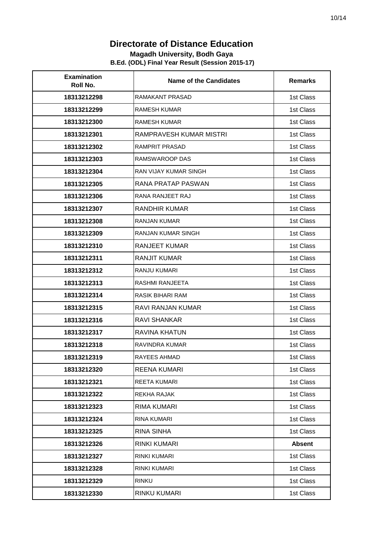#### **Magadh University, Bodh Gaya**

| <b>Examination</b><br>Roll No. | <b>Name of the Candidates</b> | <b>Remarks</b> |
|--------------------------------|-------------------------------|----------------|
| 18313212298                    | RAMAKANT PRASAD               | 1st Class      |
| 18313212299                    | <b>RAMESH KUMAR</b>           | 1st Class      |
| 18313212300                    | <b>RAMESH KUMAR</b>           | 1st Class      |
| 18313212301                    | RAMPRAVESH KUMAR MISTRI       | 1st Class      |
| 18313212302                    | <b>RAMPRIT PRASAD</b>         | 1st Class      |
| 18313212303                    | RAMSWAROOP DAS                | 1st Class      |
| 18313212304                    | <b>RAN VIJAY KUMAR SINGH</b>  | 1st Class      |
| 18313212305                    | RANA PRATAP PASWAN            | 1st Class      |
| 18313212306                    | RANA RANJEET RAJ              | 1st Class      |
| 18313212307                    | RANDHIR KUMAR                 | 1st Class      |
| 18313212308                    | <b>RANJAN KUMAR</b>           | 1st Class      |
| 18313212309                    | RANJAN KUMAR SINGH            | 1st Class      |
| 18313212310                    | <b>RANJEET KUMAR</b>          | 1st Class      |
| 18313212311                    | <b>RANJIT KUMAR</b>           | 1st Class      |
| 18313212312                    | RANJU KUMARI                  | 1st Class      |
| 18313212313                    | <b>RASHMI RANJEETA</b>        | 1st Class      |
| 18313212314                    | RASIK BIHARI RAM              | 1st Class      |
| 18313212315                    | RAVI RANJAN KUMAR             | 1st Class      |
| 18313212316                    | <b>RAVI SHANKAR</b>           | 1st Class      |
| 18313212317                    | RAVINA KHATUN                 | 1st Class      |
| 18313212318                    | RAVINDRA KUMAR                | 1st Class      |
| 18313212319                    | RAYEES AHMAD                  | 1st Class      |
| 18313212320                    | <b>REENA KUMARI</b>           | 1st Class      |
| 18313212321                    | REETA KUMARI                  | 1st Class      |
| 18313212322                    | REKHA RAJAK                   | 1st Class      |
| 18313212323                    | RIMA KUMARI                   | 1st Class      |
| 18313212324                    | RINA KUMARI                   | 1st Class      |
| 18313212325                    | RINA SINHA                    | 1st Class      |
| 18313212326                    | RINKI KUMARI                  | <b>Absent</b>  |
| 18313212327                    | <b>RINKI KUMARI</b>           | 1st Class      |
| 18313212328                    | <b>RINKI KUMARI</b>           | 1st Class      |
| 18313212329                    | <b>RINKU</b>                  | 1st Class      |
| 18313212330                    | RINKU KUMARI                  | 1st Class      |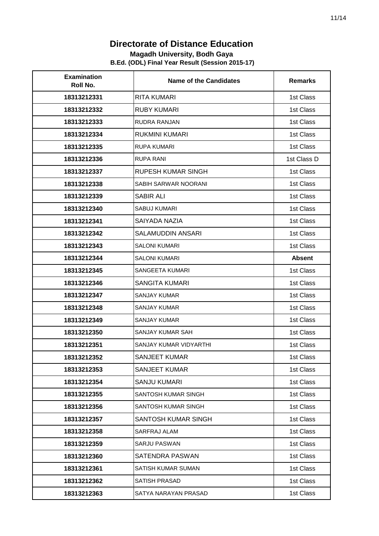#### **Magadh University, Bodh Gaya**

| <b>Examination</b><br>Roll No. | <b>Name of the Candidates</b> | <b>Remarks</b> |
|--------------------------------|-------------------------------|----------------|
| 18313212331                    | <b>RITA KUMARI</b>            | 1st Class      |
| 18313212332                    | <b>RUBY KUMARI</b>            | 1st Class      |
| 18313212333                    | <b>RUDRA RANJAN</b>           | 1st Class      |
| 18313212334                    | RUKMINI KUMARI                | 1st Class      |
| 18313212335                    | <b>RUPA KUMARI</b>            | 1st Class      |
| 18313212336                    | <b>RUPA RANI</b>              | 1st Class D    |
| 18313212337                    | RUPESH KUMAR SINGH            | 1st Class      |
| 18313212338                    | SABIH SARWAR NOORANI          | 1st Class      |
| 18313212339                    | SABIR ALI                     | 1st Class      |
| 18313212340                    | <b>SABUJ KUMARI</b>           | 1st Class      |
| 18313212341                    | SAIYADA NAZIA                 | 1st Class      |
| 18313212342                    | SALAMUDDIN ANSARI             | 1st Class      |
| 18313212343                    | <b>SALONI KUMARI</b>          | 1st Class      |
| 18313212344                    | <b>SALONI KUMARI</b>          | <b>Absent</b>  |
| 18313212345                    | SANGEETA KUMARI               | 1st Class      |
| 18313212346                    | SANGITA KUMARI                | 1st Class      |
| 18313212347                    | <b>SANJAY KUMAR</b>           | 1st Class      |
| 18313212348                    | <b>SANJAY KUMAR</b>           | 1st Class      |
| 18313212349                    | <b>SANJAY KUMAR</b>           | 1st Class      |
| 18313212350                    | SANJAY KUMAR SAH              | 1st Class      |
| 18313212351                    | SANJAY KUMAR VIDYARTHI        | 1st Class      |
| 18313212352                    | <b>SANJEET KUMAR</b>          | 1st Class      |
| 18313212353                    | SANJEET KUMAR                 | 1st Class      |
| 18313212354                    | <b>SANJU KUMARI</b>           | 1st Class      |
| 18313212355                    | <b>SANTOSH KUMAR SINGH</b>    | 1st Class      |
| 18313212356                    | SANTOSH KUMAR SINGH           | 1st Class      |
| 18313212357                    | SANTOSH KUMAR SINGH           | 1st Class      |
| 18313212358                    | SARFRAJ ALAM                  | 1st Class      |
| 18313212359                    | SARJU PASWAN                  | 1st Class      |
| 18313212360                    | SATENDRA PASWAN               | 1st Class      |
| 18313212361                    | SATISH KUMAR SUMAN            | 1st Class      |
| 18313212362                    | SATISH PRASAD                 | 1st Class      |
| 18313212363                    | SATYA NARAYAN PRASAD          | 1st Class      |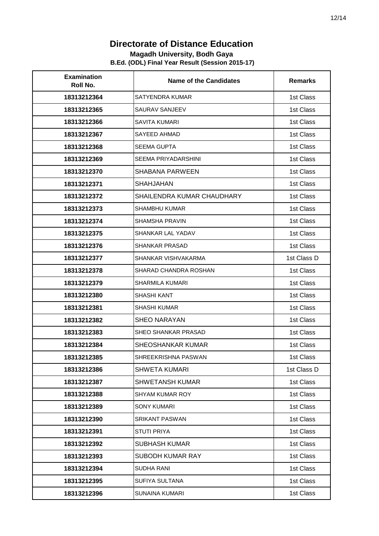#### **Magadh University, Bodh Gaya**

| <b>Examination</b><br>Roll No. | <b>Name of the Candidates</b> | <b>Remarks</b> |
|--------------------------------|-------------------------------|----------------|
| 18313212364                    | SATYENDRA KUMAR               | 1st Class      |
| 18313212365                    | <b>SAURAV SANJEEV</b>         | 1st Class      |
| 18313212366                    | <b>SAVITA KUMARI</b>          | 1st Class      |
| 18313212367                    | <b>SAYEED AHMAD</b>           | 1st Class      |
| 18313212368                    | <b>SEEMA GUPTA</b>            | 1st Class      |
| 18313212369                    | <b>SEEMA PRIYADARSHINI</b>    | 1st Class      |
| 18313212370                    | <b>SHABANA PARWEEN</b>        | 1st Class      |
| 18313212371                    | <b>SHAHJAHAN</b>              | 1st Class      |
| 18313212372                    | SHAILENDRA KUMAR CHAUDHARY    | 1st Class      |
| 18313212373                    | <b>SHAMBHU KUMAR</b>          | 1st Class      |
| 18313212374                    | <b>SHAMSHA PRAVIN</b>         | 1st Class      |
| 18313212375                    | SHANKAR LAL YADAV             | 1st Class      |
| 18313212376                    | <b>SHANKAR PRASAD</b>         | 1st Class      |
| 18313212377                    | SHANKAR VISHVAKARMA           | 1st Class D    |
| 18313212378                    | SHARAD CHANDRA ROSHAN         | 1st Class      |
| 18313212379                    | <b>SHARMILA KUMARI</b>        | 1st Class      |
| 18313212380                    | SHASHI KANT                   | 1st Class      |
| 18313212381                    | <b>SHASHI KUMAR</b>           | 1st Class      |
| 18313212382                    | <b>SHEO NARAYAN</b>           | 1st Class      |
| 18313212383                    | SHEO SHANKAR PRASAD           | 1st Class      |
| 18313212384                    | SHEOSHANKAR KUMAR             | 1st Class      |
| 18313212385                    | SHREEKRISHNA PASWAN           | 1st Class      |
| 18313212386                    | <b>SHWETA KUMARI</b>          | 1st Class D    |
| 18313212387                    | <b>SHWETANSH KUMAR</b>        | 1st Class      |
| 18313212388                    | SHYAM KUMAR ROY               | 1st Class      |
| 18313212389                    | <b>SONY KUMARI</b>            | 1st Class      |
| 18313212390                    | <b>SRIKANT PASWAN</b>         | 1st Class      |
| 18313212391                    | STUTI PRIYA                   | 1st Class      |
| 18313212392                    | <b>SUBHASH KUMAR</b>          | 1st Class      |
| 18313212393                    | SUBODH KUMAR RAY              | 1st Class      |
| 18313212394                    | SUDHA RANI                    | 1st Class      |
| 18313212395                    | SUFIYA SULTANA                | 1st Class      |
| 18313212396                    | SUNAINA KUMARI                | 1st Class      |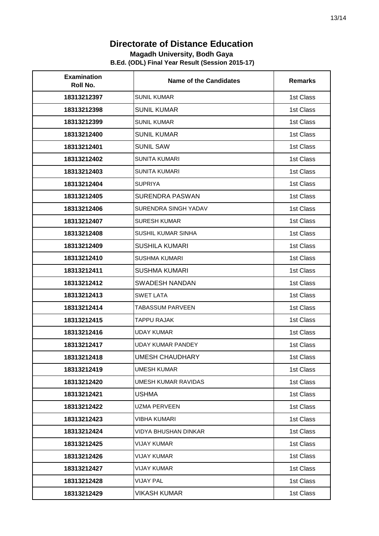#### **Magadh University, Bodh Gaya**

| <b>Examination</b><br>Roll No. | <b>Name of the Candidates</b> | <b>Remarks</b> |
|--------------------------------|-------------------------------|----------------|
| 18313212397                    | <b>SUNIL KUMAR</b>            | 1st Class      |
| 18313212398                    | <b>SUNIL KUMAR</b>            | 1st Class      |
| 18313212399                    | <b>SUNIL KUMAR</b>            | 1st Class      |
| 18313212400                    | <b>SUNIL KUMAR</b>            | 1st Class      |
| 18313212401                    | <b>SUNIL SAW</b>              | 1st Class      |
| 18313212402                    | <b>SUNITA KUMARI</b>          | 1st Class      |
| 18313212403                    | <b>SUNITA KUMARI</b>          | 1st Class      |
| 18313212404                    | SUPRIYA                       | 1st Class      |
| 18313212405                    | <b>SURENDRA PASWAN</b>        | 1st Class      |
| 18313212406                    | SURENDRA SINGH YADAV          | 1st Class      |
| 18313212407                    | <b>SURESH KUMAR</b>           | 1st Class      |
| 18313212408                    | SUSHIL KUMAR SINHA            | 1st Class      |
| 18313212409                    | <b>SUSHILA KUMARI</b>         | 1st Class      |
| 18313212410                    | <b>SUSHMA KUMARI</b>          | 1st Class      |
| 18313212411                    | <b>SUSHMA KUMARI</b>          | 1st Class      |
| 18313212412                    | <b>SWADESH NANDAN</b>         | 1st Class      |
| 18313212413                    | <b>SWET LATA</b>              | 1st Class      |
| 18313212414                    | <b>TABASSUM PARVEEN</b>       | 1st Class      |
| 18313212415                    | <b>TAPPU RAJAK</b>            | 1st Class      |
| 18313212416                    | <b>UDAY KUMAR</b>             | 1st Class      |
| 18313212417                    | <b>UDAY KUMAR PANDEY</b>      | 1st Class      |
| 18313212418                    | <b>UMESH CHAUDHARY</b>        | 1st Class      |
| 18313212419                    | <b>UMESH KUMAR</b>            | 1st Class      |
| 18313212420                    | UMESH KUMAR RAVIDAS           | 1st Class      |
| 18313212421                    | USHMA                         | 1st Class      |
| 18313212422                    | <b>UZMA PERVEEN</b>           | 1st Class      |
| 18313212423                    | <b>VIBHA KUMARI</b>           | 1st Class      |
| 18313212424                    | <b>VIDYA BHUSHAN DINKAR</b>   | 1st Class      |
| 18313212425                    | <b>VIJAY KUMAR</b>            | 1st Class      |
| 18313212426                    | <b>VIJAY KUMAR</b>            | 1st Class      |
| 18313212427                    | <b>VIJAY KUMAR</b>            | 1st Class      |
| 18313212428                    | <b>VIJAY PAL</b>              | 1st Class      |
| 18313212429                    | <b>VIKASH KUMAR</b>           | 1st Class      |